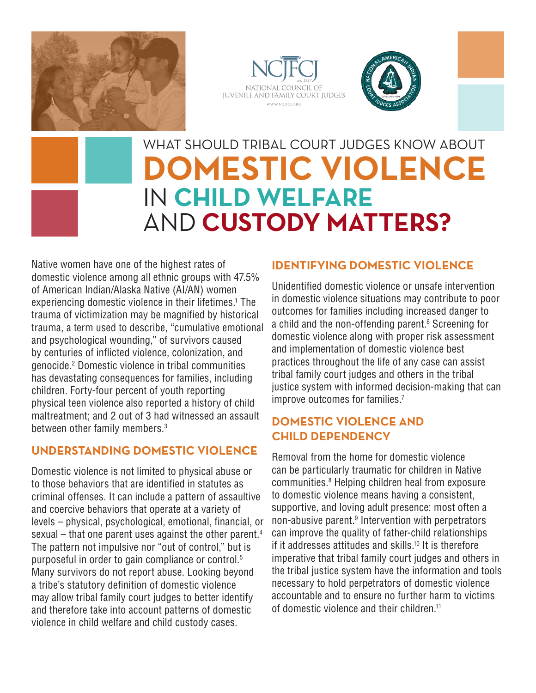





# WHAT SHOULD TRIBAL COURT JUDGES KNOW ABOUT **DOMESTIC VIOLENCE**  IN **CHILD WELFARE**  AND **CUSTODY MATTERS?**

Native women have one of the highest rates of domestic violence among all ethnic groups with 47.5% of American Indian/Alaska Native (AI/AN) women experiencing domestic violence in their lifetimes.1 The trauma of victimization may be magnified by historical trauma, a term used to describe, "cumulative emotional and psychological wounding," of survivors caused by centuries of inflicted violence, colonization, and genocide.2 Domestic violence in tribal communities has devastating consequences for families, including children. Forty-four percent of youth reporting physical teen violence also reported a history of child maltreatment; and 2 out of 3 had witnessed an assault between other family members.3

### **UNDERSTANDING DOMESTIC VIOLENCE**

Domestic violence is not limited to physical abuse or to those behaviors that are identified in statutes as criminal offenses. It can include a pattern of assaultive and coercive behaviors that operate at a variety of levels – physical, psychological, emotional, financial, or sexual – that one parent uses against the other parent.4 The pattern not impulsive nor "out of control," but is purposeful in order to gain compliance or control.5 Many survivors do not report abuse. Looking beyond a tribe's statutory definition of domestic violence may allow tribal family court judges to better identify and therefore take into account patterns of domestic violence in child welfare and child custody cases.

## **IDENTIFYING DOMESTIC VIOLENCE**

Unidentified domestic violence or unsafe intervention in domestic violence situations may contribute to poor outcomes for families including increased danger to a child and the non-offending parent.<sup>6</sup> Screening for domestic violence along with proper risk assessment and implementation of domestic violence best practices throughout the life of any case can assist tribal family court judges and others in the tribal justice system with informed decision-making that can improve outcomes for families.<sup>7</sup>

## **DOMESTIC VIOLENCE AND CHILD DEPENDENCY**

Removal from the home for domestic violence can be particularly traumatic for children in Native communities.8 Helping children heal from exposure to domestic violence means having a consistent, supportive, and loving adult presence: most often a non-abusive parent.9 Intervention with perpetrators can improve the quality of father-child relationships if it addresses attitudes and skills.<sup>10</sup> It is therefore imperative that tribal family court judges and others in the tribal justice system have the information and tools necessary to hold perpetrators of domestic violence accountable and to ensure no further harm to victims of domestic violence and their children.11